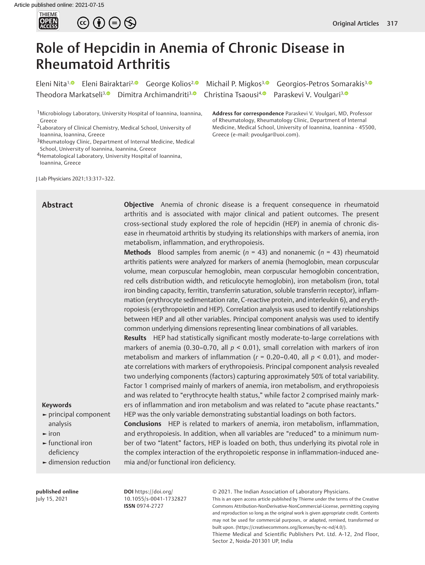



# Role of Hepcidin in Anemia of Chronic Disease in Rheumatoid Arthritis

Theodora Markatseli<sup>3, **D**Dimitra Archimandriti<sup>3, O</sup> Christina Tsaousi<sup>4, O</sup> Paraskevi V. Voulgari<sup>3, O</sup></sup>

Eleni Nita<sup>1[,](http://orcid.org/0000-0003-2775-8973) ®</sup> Eleni Bairaktari<sup>2, ®</sup> George Kolios<sup>2, ®</sup> Michail P. Migkos<sup>3, ®</sup> Georgios-Petros Somarakis<sup>3, ®</sup>

1Microbiology Laboratory, University Hospital of Ioannina, Ioannina, Greece

3Rheumatology Clinic, Department of Internal Medicine, Medical School, University of Ioannina, Ioannina, Greece

4Hematological Laboratory, University Hospital of Ioannina,

Ioannina, Greece

J Lab Physicians 2021;13:317–322.

**Address for correspondence** Paraskevi V. Voulgari, MD, Professor of Rheumatology, Rheumatology Clinic, Department of Internal Medicine, Medical School, University of Ioannina, Ioannina - 45500, Greece (e-mail: pvoulgar@uoi.com).

# **Abstract**

**Objective** Anemia of chronic disease is a frequent consequence in rheumatoid arthritis and is associated with major clinical and patient outcomes. The present cross-sectional study explored the role of hepcidin (HEP) in anemia of chronic disease in rheumatoid arthritis by studying its relationships with markers of anemia, iron metabolism, inflammation, and erythropoiesis.

**Methods** Blood samples from anemic (*n* = 43) and nonanemic (*n* = 43) rheumatoid arthritis patients were analyzed for markers of anemia (hemoglobin, mean corpuscular volume, mean corpuscular hemoglobin, mean corpuscular hemoglobin concentration, red cells distribution width, and reticulocyte hemoglobin), iron metabolism (iron, total iron binding capacity, ferritin, transferrin saturation, soluble transferrin receptor), inflammation (erythrocyte sedimentation rate, C-reactive protein, and interleukin 6), and erythropoiesis (erythropoietin and HEP). Correlation analysis was used to identify relationships between HEP and all other variables. Principal component analysis was used to identify common underlying dimensions representing linear combinations of all variables.

**Results** HEP had statistically significant mostly moderate-to-large correlations with markers of anemia (0.30-0.70, all  $p < 0.01$ ), small correlation with markers of iron metabolism and markers of inflammation ( $r = 0.20-0.40$ , all  $p < 0.01$ ), and moderate correlations with markers of erythropoiesis. Principal component analysis revealed two underlying components (factors) capturing approximately 50% of total variability. Factor 1 comprised mainly of markers of anemia, iron metabolism, and erythropoiesis and was related to "erythrocyte health status," while factor 2 comprised mainly markers of inflammation and iron metabolism and was related to "acute phase reactants." HEP was the only variable demonstrating substantial loadings on both factors.

**Conclusions** HEP is related to markers of anemia, iron metabolism, inflammation, and erythropoiesis. In addition, when all variables are "reduced" to a minimum number of two "latent" factors, HEP is loaded on both, thus underlying its pivotal role in the complex interaction of the erythropoietic response in inflammation-induced ane-

#### **Keywords**

- **►** principal component analysis
- **►** iron
- **►** functional iron deficiency
- **►** dimension reduction

#### **published online** July 15, 2021

**DOI** https://doi.org/ 10.1055/s-0041-1732827 **ISSN** 0974-2727

mia and/or functional iron deficiency.

© 2021. The Indian Association of Laboratory Physicians.

This is an open access article published by Thieme under the terms of the Creative Commons Attribution-NonDerivative-NonCommercial-License, permitting copying and reproduction so long as the original work is given appropriate credit. Contents may not be used for commercial purposes, or adapted, remixed, transformed or built upon. (https://creativecommons.org/licenses/by-nc-nd/4.0/).

Thieme Medical and Scientific Publishers Pvt. Ltd. A-12, 2nd Floor, Sector 2, Noida-201301 UP, India

<sup>2</sup>Laboratory of Clinical Chemistry, Medical School, University of Ioannina, Ioannina, Greece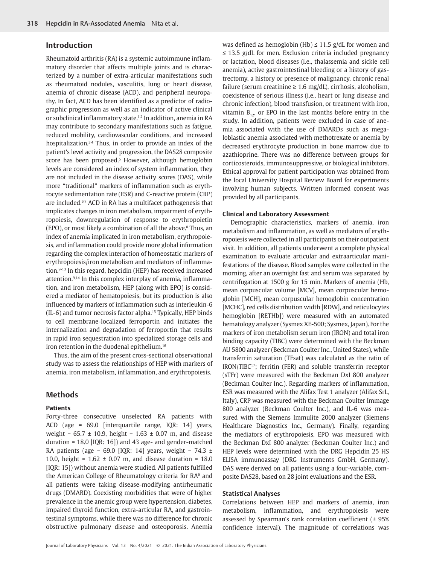## **Introduction**

Rheumatoid arthritis (RA) is a systemic autoimmune inflammatory disorder that affects multiple joints and is characterized by a number of extra-articular manifestations such as rheumatoid nodules, vasculitis, lung or heart disease, anemia of chronic disease (ACD), and peripheral neuropathy. In fact, ACD has been identified as a predictor of radiographic progression as well as an indicator of active clinical or subclinical inflammatory state.<sup>1,2</sup> In addition, anemia in RA may contribute to secondary manifestations such as fatigue, reduced mobility, cardiovascular conditions, and increased hospitalization.<sup>3,4</sup> Thus, in order to provide an index of the patient's level activity and progression, the DAS28 composite score has been proposed.<sup>5</sup> However, although hemoglobin levels are considered an index of system inflammation, they are not included in the disease activity scores (DAS), while more "traditional" markers of inflammation such as erythrocyte sedimentation rate (ESR) and C-reactive protein (CRP) are included.6,7 ACD in RA has a multifacet pathogenesis that implicates changes in iron metabolism, impairment of erythropoiesis, downregulation of response to erythropoietin (EPO), or most likely a combination of all the above.<sup>8</sup> Thus, an index of anemia implicated in iron metabolism, erythropoiesis, and inflammation could provide more global information regarding the complex interaction of homeostatic markers of erythropoiesis/iron metabolism and mediators of inflammation.9-13 In this regard, hepcidin (HEP) has received increased attention.9,14 In this complex interplay of anemia, inflammation, and iron metabolism, HEP (along with EPO) is considered a mediator of hematopoiesis, but its production is also influenced by markers of inflammation such as interleukin-6 (IL-6) and tumor necrosis factor alpha.15 Typically, HEP binds to cell membrane-localized ferroportin and initiates the internalization and degradation of ferroportin that results in rapid iron sequestration into specialized storage cells and iron retention in the duodenal epithelium.<sup>16</sup>

Thus, the aim of the present cross-sectional observational study was to assess the relationships of HEP with markers of anemia, iron metabolism, inflammation, and erythropoiesis.

# **Methods**

#### **Patients**

Forty-three consecutive unselected RA patients with ACD (age = 69.0 [interquartile range, IQR: 14] years, weight = 65.7 ± 10.9, height = 1.63 ± 0.07 m, and disease duration = 18.0 [IQR: 16]) and 43 age- and gender-matched RA patients (age = 69.0 [IQR: 14] years, weight = 74.3  $\pm$ 10.0, height = 1.62 ± 0.07 m, and disease duration = 18.0 [IQR: 15]) without anemia were studied. All patients fulfilled the American College of Rheumatology criteria for RA<sup>6</sup> and all patients were taking disease-modifying antirheumatic drugs (DMARD). Coexisting morbidities that were of higher prevalence in the anemic group were hypertension, diabetes, impaired thyroid function, extra-articular RA, and gastrointestinal symptoms, while there was no difference for chronic obstructive pulmonary disease and osteoporosis. Anemia

was defined as hemoglobin (Hb)  $\leq$  11.5 g/dL for women and ≤ 13.5 g/dL for men. Exclusion criteria included pregnancy or lactation, blood diseases (i.e., thalassemia and sickle cell anemia), active gastrointestinal bleeding or a history of gastrectomy, a history or presence of malignancy, chronic renal failure (serum creatinine  $\geq 1.6$  mg/dL), cirrhosis, alcoholism, coexistence of serious illness (i.e., heart or lung disease and chronic infection), blood transfusion, or treatment with iron, vitamin  $B_{12}$ , or EPO in the last months before entry in the study. In addition, patients were excluded in case of anemia associated with the use of DMARDs such as megaloblastic anemia associated with methotrexate or anemia by decreased erythrocyte production in bone marrow due to azathioprine. There was no difference between groups for corticosteroids, immunosuppressive, or biological inhibitors. Ethical approval for patient participation was obtained from the local University Hospital Review Board for experiments involving human subjects. Written informed consent was provided by all participants.

#### **Clinical and Laboratory Assessment**

Demographic characteristics, markers of anemia, iron metabolism and inflammation, as well as mediators of erythropoiesis were collected in all participants on their outpatient visit. In addition, all patients underwent a complete physical examination to evaluate articular and extraarticular manifestations of the disease. Blood samples were collected in the morning, after an overnight fast and serum was separated by centrifugation at 1500 g for 15 min. Markers of anemia (Hb, mean corpuscular volume [MCV], mean corpuscular hemoglobin [MCH], mean corpuscular hemoglobin concentration [MCHC], red cells distribution width [RDW], and reticulocytes hemoglobin [RETHb]) were measured with an automated hematology analyzer (Sysmex XE-500; Sysmex, Japan). For the markers of iron metabolism serum iron (IRON) and total iron binding capacity (TIBC) were determined with the Beckman AU 5800 analyzer (Beckman Coulter Inc., United States), while transferrin saturation (TFsat) was calculated as the ratio of IRON/TIBC17; ferritin (FER) and soluble transferrin receptor (sTFr) were measured with the Beckman DxI 800 analyzer (Beckman Coulter Inc.). Regarding markers of inflammation, ESR was measured with the Alifax Test 1 analyzer (Alifax SrL, Italy), CRP was measured with the Beckman Coulter Immage 800 analyzer (Beckman Coulter Inc.), and IL-6 was measured with the Siemens Immulite 2000 analyzer (Siemens Healthcare Diagnostics Inc., Germany). Finally, regarding the mediators of erythropoiesis, EPO was measured with the Beckman DxI 800 analyzer (Beckman Coulter Inc.) and HEP levels were determined with the DRG Hepcidin 25 HS ELISA immunoassay (DRG Instruments GmbH, Germany). DAS were derived on all patients using a four-variable, composite DAS28, based on 28 joint evaluations and the ESR.

### **Statistical Analyses**

Correlations between HEP and markers of anemia, iron metabolism, inflammation, and erythropoiesis were assessed by Spearman's rank correlation coefficient (± 95% confidence interval). The magnitude of correlations was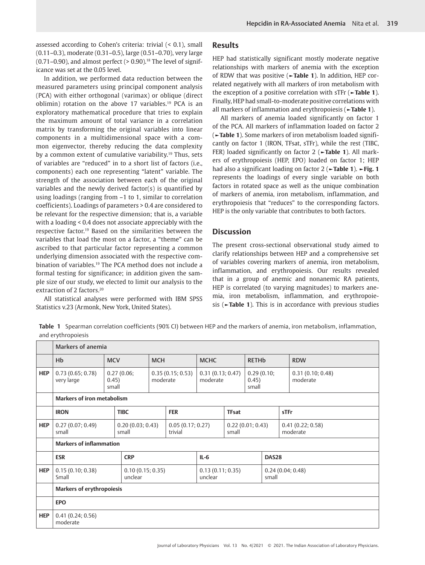assessed according to Cohen's criteria: trivial (< 0.1), small (0.11–0.3), moderate (0.31–0.5), large (0.51–0.70), very large  $(0.71-0.90)$ , and almost perfect  $(>0.90)$ .<sup>18</sup> The level of significance was set at the 0.05 level.

In addition, we performed data reduction between the measured parameters using principal component analysis (PCA) with either orthogonal (varimax) or oblique (direct oblimin) rotation on the above 17 variables.19 PCA is an exploratory mathematical procedure that tries to explain the maximum amount of total variance in a correlation matrix by transforming the original variables into linear components in a multidimensional space with a common eigenvector, thereby reducing the data complexity by a common extent of cumulative variability.19 Thus, sets of variables are "reduced" in to a short list of factors (i.e., components) each one representing "latent" variable. The strength of the association between each of the original variables and the newly derived factor(s) is quantified by using loadings (ranging from –1 to 1, similar to correlation coefficients). Loadings of parameters > 0.4 are considered to be relevant for the respective dimension; that is, a variable with a loading < 0.4 does not associate appreciably with the respective factor.19 Based on the similarities between the variables that load the most on a factor, a "theme" can be ascribed to that particular factor representing a common underlying dimension associated with the respective combination of variables.19 The PCA method does not include a formal testing for significance; in addition given the sample size of our study, we elected to limit our analysis to the extraction of 2 factors.<sup>20</sup>

All statistical analyses were performed with IBM SPSS Statistics v.23 (Armonk, New York, United States).

#### **Results**

HEP had statistically significant mostly moderate negative relationships with markers of anemia with the exception of RDW that was positive (**►Table 1**). In addition, HEP correlated negatively with all markers of iron metabolism with the exception of a positive correlation with sTFr (**►Table 1**). Finally, HEP had small-to-moderate positive correlations with all markers of inflammation and erythropoiesis (**►Table 1**).

All markers of anemia loaded significantly on factor 1 of the PCA. All markers of inflammation loaded on factor 2 (**►Table 1**). Some markers of iron metabolism loaded significantly on factor 1 (IRON, TFsat, sTFr), while the rest (TIBC, FER) loaded significantly on factor 2 (**►Table 1**). All markers of erythropoiesis (HEP, EPO) loaded on factor 1; HEP had also a significant loading on factor 2 (**►Table 1**). **►Fig. 1** represents the loadings of every single variable on both factors in rotated space as well as the unique combination of markers of anemia, iron metabolism, inflammation, and erythropoiesis that "reduces" to the corresponding factors. HEP is the only variable that contributes to both factors.

## **Discussion**

The present cross-sectional observational study aimed to clarify relationships between HEP and a comprehensive set of variables covering markers of anemia, iron metabolism, inflammation, and erythropoiesis. Our results revealed that in a group of anemic and nonanemic RA patients, HEP is correlated (to varying magnitudes) to markers anemia, iron metabolism, inflammation, and erythropoiesis (**►Table 1**). This is in accordance with previous studies

**Table 1** Spearman correlation coefficients (90% CI) between HEP and the markers of anemia, iron metabolism, inflammation, and erythropoiesis

|            | Markers of anemia                  |                |                             |              |                                                  |                             |                              |                           |  |                              |
|------------|------------------------------------|----------------|-----------------------------|--------------|--------------------------------------------------|-----------------------------|------------------------------|---------------------------|--|------------------------------|
|            | Hb                                 | <b>MCV</b>     |                             | <b>MCH</b>   |                                                  | <b>MCHC</b>                 |                              | <b>RETH<sub>b</sub></b>   |  | <b>RDW</b>                   |
| <b>HEP</b> | 0.73(0.65; 0.78)<br>very large     | 0.45)<br>small | 0.27(0.06;<br>moderate      |              | 0.35(0.15; 0.53)<br>0.31(0.13; 0.47)<br>moderate |                             | 0.29(0.10;<br>0.45)<br>small |                           |  | 0.31(0.10; 0.48)<br>moderate |
|            | <b>Markers of iron metabolism</b>  |                |                             |              |                                                  |                             |                              |                           |  |                              |
|            | <b>IRON</b>                        |                | <b>TIBC</b>                 |              | <b>FER</b>                                       |                             | <b>TFsat</b>                 |                           |  | sTFr                         |
| <b>HEP</b> | 0.27(0.07; 0.49)<br>small          |                | 0.20(0.03; 0.43)<br>small   |              | 0.05(0.17; 0.27)<br>trivial                      |                             | 0.22(0.01; 0.43)<br>small    |                           |  | 0.41(0.22; 0.58)<br>moderate |
|            | <b>Markers of inflammation</b>     |                |                             |              |                                                  |                             |                              |                           |  |                              |
|            | <b>CRP</b><br>$IL-6$<br><b>ESR</b> |                |                             | <b>DAS28</b> |                                                  |                             |                              |                           |  |                              |
| <b>HEP</b> | 0.15(0.10; 0.38)<br>Small          |                | 0.10(0.15; 0.35)<br>unclear |              |                                                  | 0.13(0.11; 0.35)<br>unclear |                              | 0.24(0.04; 0.48)<br>small |  |                              |
|            | <b>Markers of erythropoiesis</b>   |                |                             |              |                                                  |                             |                              |                           |  |                              |
|            | <b>EPO</b>                         |                |                             |              |                                                  |                             |                              |                           |  |                              |
| <b>HEP</b> | 0.41(0.24; 0.56)<br>moderate       |                |                             |              |                                                  |                             |                              |                           |  |                              |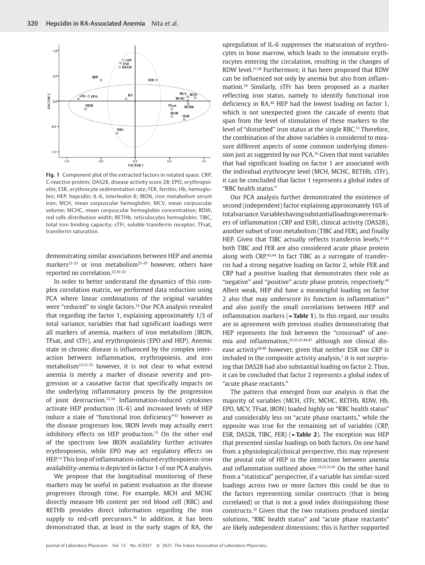

**Fig. 1** Component plot of the extracted factors in rotated space. CRP, C-reactive protein; DAS28, disease activity score 28; EPO, erythropoietin; ESR, erythrocyte sedimentation rate; FER, ferritin; Hb, hemoglobin; HEP, hepcidin; IL-6, interleukin 6; IRON, iron metabolism serum iron; MCH, mean corpuscular hemoglobin; MCV, mean corpuscular volume; MCHC, mean corpuscular hemoglobin concentration; RDW, red cells distribution width; RETHb, reticulocytes hemoglobin; TIBC, total iron binding capacity; sTFr, soluble transferrin receptor; TFsat, transferrin saturation.

demonstrating similar associations between HEP and anemia markers<sup>21-25</sup> or iron metabolism<sup>25-29</sup> however, others have reported no correlation.23,30-32

In order to better understand the dynamics of this complex correlation matrix, we performed data reduction using PCA where linear combinations of the original variables were "reduced" to single factors.19 Our PCA analysis revealed that regarding the factor 1, explaining approximately 1/3 of total variance, variables that had significant loadings were all markers of anemia, markers of iron metabolism (IRON, TFsat, and sTFr), and erythropoiesis (EPO and HEP). Anemic state in chronic disease is influenced by the complex interaction between inflammation, erythropoiesis, and iron metabolism15,33-35 however, it is not clear to what extend anemia is merely a marker of disease severity and progression or a causative factor that specifically impacts on the underlying inflammatory process by the progression of joint destruction.15,34 Inflammation-induced cytokines activate HEP production (IL-6) and increased levels of HEP induce a state of "functional iron deficiency"<sup>33</sup> however as the disease progresses low, IRON levels may actually exert inhibitory effects on HEP production.<sup>15</sup> On the other end of the spectrum low IRON availability further activates erythropoiesis, while EPO may act regulatory effects on HEP.15 This loop of inflammation-induced erythropoiesis-iron availability-anemia is depicted in factor 1 of our PCA analysis.

We propose that the longitudinal monitoring of these markers may be useful in patient evaluation as the disease progresses through time. For example, MCH and MCHC directly measure Hb content per red blood cell (RBC) and RETHb provides direct information regarding the iron supply to red-cell precursors.<sup>36</sup> In addition, it has been demonstrated that, at least in the early stages of RA, the upregulation of IL-6 suppresses the maturation of erythrocytes in bone marrow, which leads to the immature erythrocytes entering the circulation, resulting in the changes of RDW level.37,38 Furthermore, it has been proposed that RDW can be influenced not only by anemia but also from inflammation.39 Similarly, sTFr has been proposed as a marker reflecting iron status, namely to identify functional iron deficiency in RA.40 HEP had the lowest loading on factor 1, which is not unexpected given the cascade of events that span from the level of stimulation of these markers to the level of "disturbed" iron status at the single RBC.15 Therefore, the combination of the above variables is considered to measure different aspects of some common underlying dimension just as suggested by our PCA.19 Given that most variables that had significant loading on factor 1 are associated with the individual erythrocyte level (MCH, MCHC, RETHb, sTFr), it can be concluded that factor 1 represents a global index of "RBC health status."

Our PCA analysis further demonstrated the existence of second (independent) factor explaining approximately 16% of total variance. Variables having substantial loadings were markers of inflammation (CRP and ESR), clinical activity (DAS28), another subset of iron metabolism (TIBC and FER), and finally HEP. Given that TIBC actually reflects transferrin levels, 41,42 both TIBC and FER are also considered acute phase protein along with CRP.<sup>43,44</sup> In fact TIBC as a surrogate of transferrin had a strong negative loading on factor 2, while FER and CRP had a positive loading that demonstrates their role as "negative" and "positive" acute phase protein, respectively.45 Albeit weak, HEP did have a meaningful loading on factor 2 also that may underscore its function in inflammation $14$ and also justify the small correlations between HEP and inflammation markers (**►Table 1**). In this regard, our results are in agreement with previous studies demonstrating that HEP represents the link between the "crossroad" of anemia and inflammation,<sup>23,25,35,46,47</sup> although not clinical disease activity<sup>28,48</sup> however, given that neither ESR nor CRP is included in the composite activity analysis, $\overline{a}$  it is not surprising that DAS28 had also substantial loading on factor 2. Thus, it can be concluded that factor 2 represents a global index of "acute phase reactants."

The pattern that emerged from our analysis is that the majority of variables (MCH, sTFr, MCHC, RETHb, RDW, Hb, EPO, MCV, TFsat, IRON) loaded highly on "RBC health status" and considerably less on "acute phase reactants," while the opposite was true for the remaining set of variables (CRP, ESR, DAS28, TIBC, FER) (**►Table 2**). The exception was HEP that presented similar loadings on both factors. On one hand from a physiological/clinical perspective, this may represent the pivotal role of HEP in the interaction between anemia and inflammation outlined above.<sup>14,23,35,47</sup> On the other hand from a "statistical" perspective, if a variable has similar-sized loadings across two or more factors this could be due to the factors representing similar constructs (that is being correlated) or that is not a good index distinguishing those constructs.19 Given that the two rotations produced similar solutions, "RBC health status" and "acute phase reactants" are likely independent dimensions; this is further supported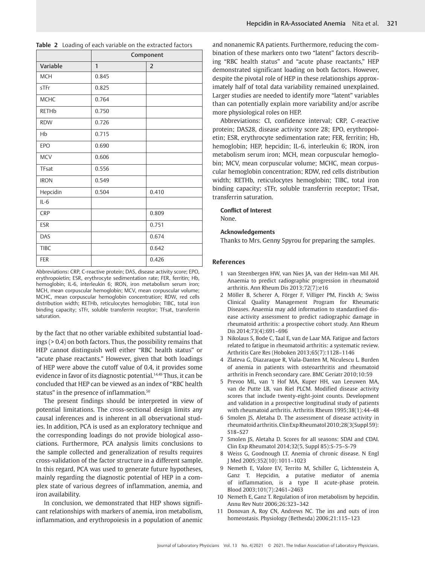|              | Component    |                |  |  |  |  |  |
|--------------|--------------|----------------|--|--|--|--|--|
| Variable     | $\mathbf{1}$ | $\overline{2}$ |  |  |  |  |  |
| <b>MCH</b>   | 0.845        |                |  |  |  |  |  |
| sTFr         | 0.825        |                |  |  |  |  |  |
| <b>MCHC</b>  | 0.764        |                |  |  |  |  |  |
| <b>RETHb</b> | 0.750        |                |  |  |  |  |  |
| <b>RDW</b>   | 0.726        |                |  |  |  |  |  |
| Hb           | 0.715        |                |  |  |  |  |  |
| <b>EPO</b>   | 0.690        |                |  |  |  |  |  |
| <b>MCV</b>   | 0.606        |                |  |  |  |  |  |
| TFsat        | 0.556        |                |  |  |  |  |  |
| <b>IRON</b>  | 0.549        |                |  |  |  |  |  |
| Hepcidin     | 0.504        | 0.410          |  |  |  |  |  |
| $IL-6$       |              |                |  |  |  |  |  |
| <b>CRP</b>   |              | 0.809          |  |  |  |  |  |
| <b>ESR</b>   |              | 0.751          |  |  |  |  |  |
| DAS          |              | 0.674          |  |  |  |  |  |
| <b>TIBC</b>  |              | 0.642          |  |  |  |  |  |
| <b>FER</b>   |              | 0.426          |  |  |  |  |  |

**Table 2** Loading of each variable on the extracted factors

Abbreviations: CRP, C-reactive protein; DAS, disease activity score; EPO, erythropoietin; ESR, erythrocyte sedimentation rate; FER, ferritin; Hb, hemoglobin; IL-6, interleukin 6; IRON, iron metabolism serum iron; MCH, mean corpuscular hemoglobin; MCV, mean corpuscular volume; MCHC, mean corpuscular hemoglobin concentration; RDW, red cells distribution width; RETHb, reticulocytes hemoglobin; TIBC, total iron binding capacity; sTFr, soluble transferrin receptor; TFsat, transferrin saturation.

by the fact that no other variable exhibited substantial loadings (> 0.4) on both factors. Thus, the possibility remains that HEP cannot distinguish well either "RBC health status" or "acute phase reactants." However, given that both loadings of HEP were above the cutoff value of 0.4, it provides some evidence in favor of its diagnostic potential.<sup>14,49</sup> Thus, it can be concluded that HEP can be viewed as an index of "RBC health status" in the presence of inflammation.<sup>50</sup>

The present findings should be interpreted in view of potential limitations. The cross-sectional design limits any causal inferences and is inherent in all observational studies. In addition, PCA is used as an exploratory technique and the corresponding loadings do not provide biological associations. Furthermore, PCA analysis limits conclusions to the sample collected and generalization of results requires cross-validation of the factor structure in a different sample. In this regard, PCA was used to generate future hypotheses, mainly regarding the diagnostic potential of HEP in a complex state of various degrees of inflammation, anemia, and iron availability.

In conclusion, we demonstrated that HEP shows significant relationships with markers of anemia, iron metabolism, inflammation, and erythropoiesis in a population of anemic and nonanemic RA patients. Furthermore, reducing the combination of these markers onto two "latent" factors describing "RBC health status" and "acute phase reactants," HEP demonstrated significant loading on both factors. However, despite the pivotal role of HEP in these relationships approximately half of total data variability remained unexplained. Larger studies are needed to identify more "latent" variables than can potentially explain more variability and/or ascribe more physiological roles on HEP.

Abbreviations: CI, confidence interval; CRP, C-reactive protein; DAS28, disease activity score 28; EPO, erythropoietin; ESR, erythrocyte sedimentation rate; FER, ferritin; Hb, hemoglobin; HEP, hepcidin; IL-6, interleukin 6; IRON, iron metabolism serum iron; MCH, mean corpuscular hemoglobin; MCV, mean corpuscular volume; MCHC, mean corpuscular hemoglobin concentration; RDW, red cells distribution width; RETHb, reticulocytes hemoglobin; TIBC, total iron binding capacity; sTFr, soluble transferrin receptor; TFsat, transferrin saturation.

#### **Conflict of Interest**

None.

#### **Acknowledgements**

Thanks to Mrs. Genny Spyrou for preparing the samples.

#### **References**

- 1 van Steenbergen HW, van Nies JA, van der Helm-van Mil AH. Anaemia to predict radiographic progression in rheumatoid arthritis. Ann Rheum Dis 2013;72(7):e16
- 2 Möller B, Scherer A, Förger F, Villiger PM, Finckh A; Swiss Clinical Quality Management Program for Rheumatic Diseases. Anaemia may add information to standardised disease activity assessment to predict radiographic damage in rheumatoid arthritis: a prospective cohort study. Ann Rheum Dis 2014;73(4):691–696
- 3 Nikolaus S, Bode C, Taal E, van de Laar MA. Fatigue and factors related to fatigue in rheumatoid arthritis: a systematic review. Arthritis Care Res (Hoboken 2013;65(7):1128–1146
- 4 Zlateva G, Diazaraque R, Viala-Danten M, Niculescu L. Burden of anemia in patients with osteoarthritis and rheumatoid arthritis in French secondary care. BMC Geriatr 2010;10:59
- 5 Prevoo ML, van 't Hof MA, Kuper HH, van Leeuwen MA, van de Putte LB, van Riel PLCM. Modified disease activity scores that include twenty-eight-joint counts. Development and validation in a prospective longitudinal study of patients with rheumatoid arthritis. Arthritis Rheum 1995;38(1):44–48
- 6 Smolen JS, Aletaha D. The assessment of disease activity in rheumatoid arthritis. Clin Exp Rheumatol 2010;28(3(Suppl 59): S18–S27
- 7 Smolen JS, Aletaha D. Scores for all seasons: SDAI and CDAI. Clin Exp Rheumatol 2014;32(5, Suppl 85):S-75–S-79
- 8 Weiss G, Goodnough LT. Anemia of chronic disease. N Engl J Med 2005;352(10):1011–1023
- 9 Nemeth E, Valore EV, Territo M, Schiller G, Lichtenstein A, Ganz T. Hepcidin, a putative mediator of anemia of inflammation, is a type II acute-phase protein. Blood 2003;101(7):2461–2463
- 10 Nemeth E, Ganz T. Regulation of iron metabolism by hepcidin. Annu Rev Nutr 2006;26:323–342
- 11 Donovan A, Roy CN, Andrews NC. The ins and outs of iron homeostasis. Physiology (Bethesda) 2006;21:115–123